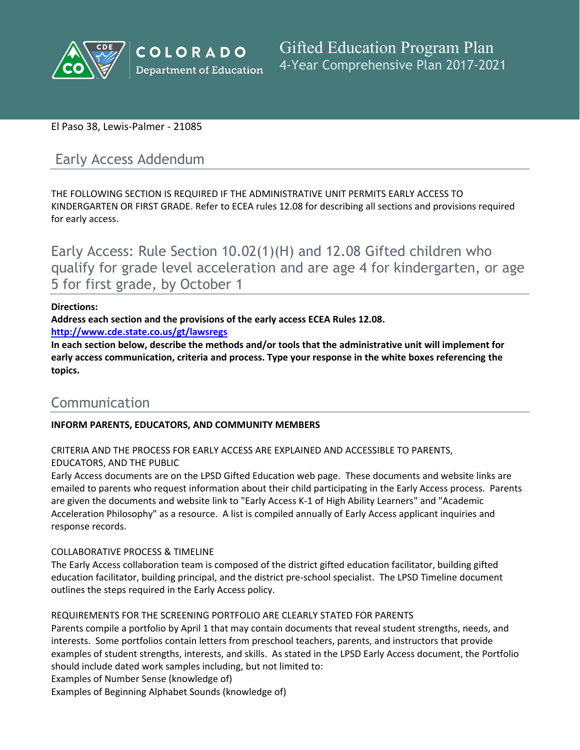

# El Paso 38, Lewis-Palmer - 21085

# Early Access Addendum

THE FOLLOWING SECTION IS REQUIRED IF THE ADMINISTRATIVE UNIT PERMITS EARLY ACCESS TO KINDERGARTEN OR FIRST GRADE. Refer to ECEA rules 12.08 for describing all sections and provisions required for early access.

Early Access: Rule Section 10.02(1)(H) and 12.08 Gifted children who qualify for grade level acceleration and are age 4 for kindergarten, or age 5 for first grade, by October 1

#### **Directions:**

**Address each section and the provisions of the early access ECEA Rules 12.08.**

**<http://www.cde.state.co.us/gt/lawsregs>**

**In each section below, describe the methods and/or tools that the administrative unit will implement for early access communication, criteria and process. Type your response in the white boxes referencing the topics.**

# Communication

# **INFORM PARENTS, EDUCATORS, AND COMMUNITY MEMBERS**

CRITERIA AND THE PROCESS FOR EARLY ACCESS ARE EXPLAINED AND ACCESSIBLE TO PARENTS, EDUCATORS, AND THE PUBLIC

Early Access documents are on the LPSD Gifted Education web page. These documents and website links are emailed to parents who request information about their child participating in the Early Access process. Parents are given the documents and website link to "Early Access K-1 of High Ability Learners" and "Academic Acceleration Philosophy" as a resource. A list is compiled annually of Early Access applicant inquiries and response records.

#### COLLABORATIVE PROCESS & TIMELINE

The Early Access collaboration team is composed of the district gifted education facilitator, building gifted education facilitator, building principal, and the district pre-school specialist. The LPSD Timeline document outlines the steps required in the Early Access policy.

#### REQUIREMENTS FOR THE SCREENING PORTFOLIO ARE CLEARLY STATED FOR PARENTS

Parents compile a portfolio by April 1 that may contain documents that reveal student strengths, needs, and interests. Some portfolios contain letters from preschool teachers, parents, and instructors that provide examples of student strengths, interests, and skills. As stated in the LPSD Early Access document, the Portfolio should include dated work samples including, but not limited to:

Examples of Number Sense (knowledge of)

Examples of Beginning Alphabet Sounds (knowledge of)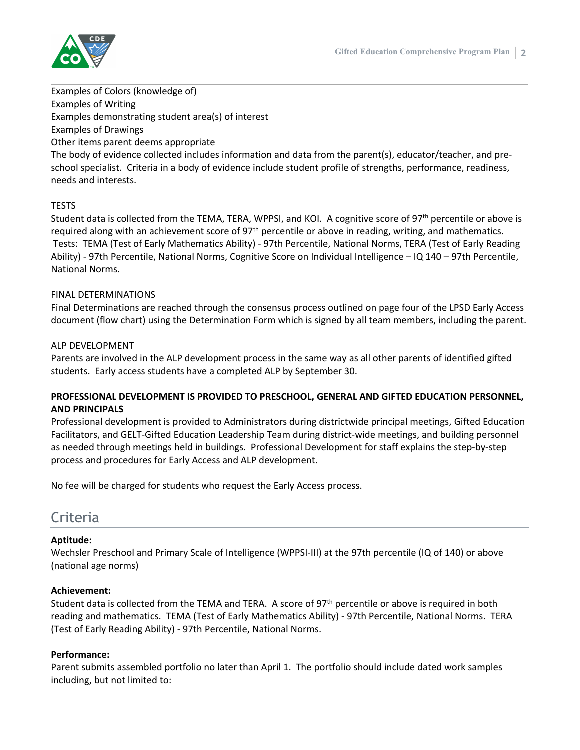

Examples of Colors (knowledge of) Examples of Writing Examples demonstrating student area(s) of interest Examples of Drawings Other items parent deems appropriate

The body of evidence collected includes information and data from the parent(s), educator/teacher, and preschool specialist. Criteria in a body of evidence include student profile of strengths, performance, readiness, needs and interests.

#### TESTS

Student data is collected from the TEMA, TERA, WPPSI, and KOI. A cognitive score of 97<sup>th</sup> percentile or above is required along with an achievement score of  $97<sup>th</sup>$  percentile or above in reading, writing, and mathematics. Tests: TEMA (Test of Early Mathematics Ability) - 97th Percentile, National Norms, TERA (Test of Early Reading Ability) - 97th Percentile, National Norms, Cognitive Score on Individual Intelligence – IQ 140 – 97th Percentile, National Norms.

#### FINAL DETERMINATIONS

Final Determinations are reached through the consensus process outlined on page four of the LPSD Early Access document (flow chart) using the Determination Form which is signed by all team members, including the parent.

#### ALP DEVELOPMENT

Parents are involved in the ALP development process in the same way as all other parents of identified gifted students. Early access students have a completed ALP by September 30.

## **PROFESSIONAL DEVELOPMENT IS PROVIDED TO PRESCHOOL, GENERAL AND GIFTED EDUCATION PERSONNEL, AND PRINCIPALS**

Professional development is provided to Administrators during districtwide principal meetings, Gifted Education Facilitators, and GELT-Gifted Education Leadership Team during district-wide meetings, and building personnel as needed through meetings held in buildings. Professional Development for staff explains the step-by-step process and procedures for Early Access and ALP development.

No fee will be charged for students who request the Early Access process.

# **Criteria**

#### **Aptitude:**

Wechsler Preschool and Primary Scale of Intelligence (WPPSI-III) at the 97th percentile (IQ of 140) or above (national age norms)

#### **Achievement:**

Student data is collected from the TEMA and TERA. A score of 97<sup>th</sup> percentile or above is required in both reading and mathematics. TEMA (Test of Early Mathematics Ability) - 97th Percentile, National Norms. TERA (Test of Early Reading Ability) - 97th Percentile, National Norms.

#### **Performance:**

Parent submits assembled portfolio no later than April 1. The portfolio should include dated work samples including, but not limited to: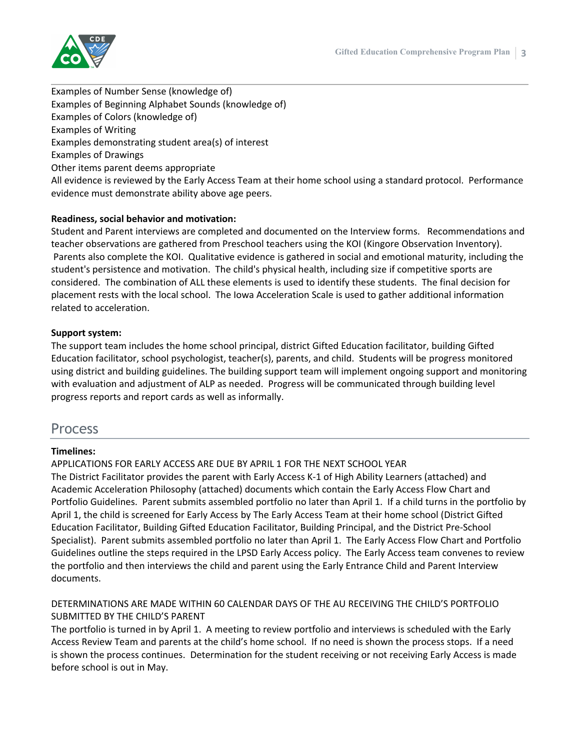

Examples of Number Sense (knowledge of) Examples of Beginning Alphabet Sounds (knowledge of) Examples of Colors (knowledge of) Examples of Writing Examples demonstrating student area(s) of interest Examples of Drawings Other items parent deems appropriate All evidence is reviewed by the Early Access Team at their home school using a standard protocol. Performance evidence must demonstrate ability above age peers.

## **Readiness, social behavior and motivation:**

Student and Parent interviews are completed and documented on the Interview forms. Recommendations and teacher observations are gathered from Preschool teachers using the KOI (Kingore Observation Inventory). Parents also complete the KOI. Qualitative evidence is gathered in social and emotional maturity, including the student's persistence and motivation. The child's physical health, including size if competitive sports are considered. The combination of ALL these elements is used to identify these students. The final decision for placement rests with the local school. The Iowa Acceleration Scale is used to gather additional information related to acceleration.

#### **Support system:**

The support team includes the home school principal, district Gifted Education facilitator, building Gifted Education facilitator, school psychologist, teacher(s), parents, and child. Students will be progress monitored using district and building guidelines. The building support team will implement ongoing support and monitoring with evaluation and adjustment of ALP as needed. Progress will be communicated through building level progress reports and report cards as well as informally.

# Process

#### **Timelines:**

APPLICATIONS FOR EARLY ACCESS ARE DUE BY APRIL 1 FOR THE NEXT SCHOOL YEAR The District Facilitator provides the parent with Early Access K-1 of High Ability Learners (attached) and Academic Acceleration Philosophy (attached) documents which contain the Early Access Flow Chart and Portfolio Guidelines. Parent submits assembled portfolio no later than April 1. If a child turns in the portfolio by April 1, the child is screened for Early Access by The Early Access Team at their home school (District Gifted Education Facilitator, Building Gifted Education Facilitator, Building Principal, and the District Pre-School Specialist). Parent submits assembled portfolio no later than April 1. The Early Access Flow Chart and Portfolio Guidelines outline the steps required in the LPSD Early Access policy. The Early Access team convenes to review the portfolio and then interviews the child and parent using the Early Entrance Child and Parent Interview documents.

## DETERMINATIONS ARE MADE WITHIN 60 CALENDAR DAYS OF THE AU RECEIVING THE CHILD'S PORTFOLIO SUBMITTED BY THE CHILD'S PARENT

The portfolio is turned in by April 1. A meeting to review portfolio and interviews is scheduled with the Early Access Review Team and parents at the child's home school. If no need is shown the process stops. If a need is shown the process continues. Determination for the student receiving or not receiving Early Access is made before school is out in May.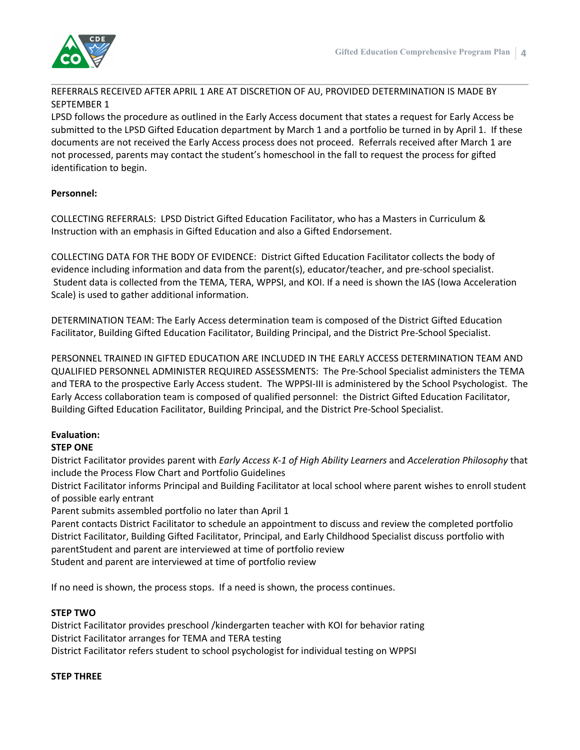

## REFERRALS RECEIVED AFTER APRIL 1 ARE AT DISCRETION OF AU, PROVIDED DETERMINATION IS MADE BY SEPTEMBER 1

LPSD follows the procedure as outlined in the Early Access document that states a request for Early Access be submitted to the LPSD Gifted Education department by March 1 and a portfolio be turned in by April 1. If these documents are not received the Early Access process does not proceed. Referrals received after March 1 are not processed, parents may contact the student's homeschool in the fall to request the process for gifted identification to begin.

# **Personnel:**

COLLECTING REFERRALS: LPSD District Gifted Education Facilitator, who has a Masters in Curriculum & Instruction with an emphasis in Gifted Education and also a Gifted Endorsement.

COLLECTING DATA FOR THE BODY OF EVIDENCE: District Gifted Education Facilitator collects the body of evidence including information and data from the parent(s), educator/teacher, and pre-school specialist. Student data is collected from the TEMA, TERA, WPPSI, and KOI. If a need is shown the IAS (Iowa Acceleration Scale) is used to gather additional information.

DETERMINATION TEAM: The Early Access determination team is composed of the District Gifted Education Facilitator, Building Gifted Education Facilitator, Building Principal, and the District Pre-School Specialist.

PERSONNEL TRAINED IN GIFTED EDUCATION ARE INCLUDED IN THE EARLY ACCESS DETERMINATION TEAM AND QUALIFIED PERSONNEL ADMINISTER REQUIRED ASSESSMENTS: The Pre-School Specialist administers the TEMA and TERA to the prospective Early Access student. The WPPSI-III is administered by the School Psychologist. The Early Access collaboration team is composed of qualified personnel: the District Gifted Education Facilitator, Building Gifted Education Facilitator, Building Principal, and the District Pre-School Specialist.

# **Evaluation:**

# **STEP ONE**

District Facilitator provides parent with *Early Access K-1 of High Ability Learners* and *Acceleration Philosophy* that include the Process Flow Chart and Portfolio Guidelines

District Facilitator informs Principal and Building Facilitator at local school where parent wishes to enroll student of possible early entrant

Parent submits assembled portfolio no later than April 1

Parent contacts District Facilitator to schedule an appointment to discuss and review the completed portfolio District Facilitator, Building Gifted Facilitator, Principal, and Early Childhood Specialist discuss portfolio with parentStudent and parent are interviewed at time of portfolio review Student and parent are interviewed at time of portfolio review

If no need is shown, the process stops. If a need is shown, the process continues.

#### **STEP TWO**

District Facilitator provides preschool /kindergarten teacher with KOI for behavior rating District Facilitator arranges for TEMA and TERA testing District Facilitator refers student to school psychologist for individual testing on WPPSI

#### **STEP THREE**